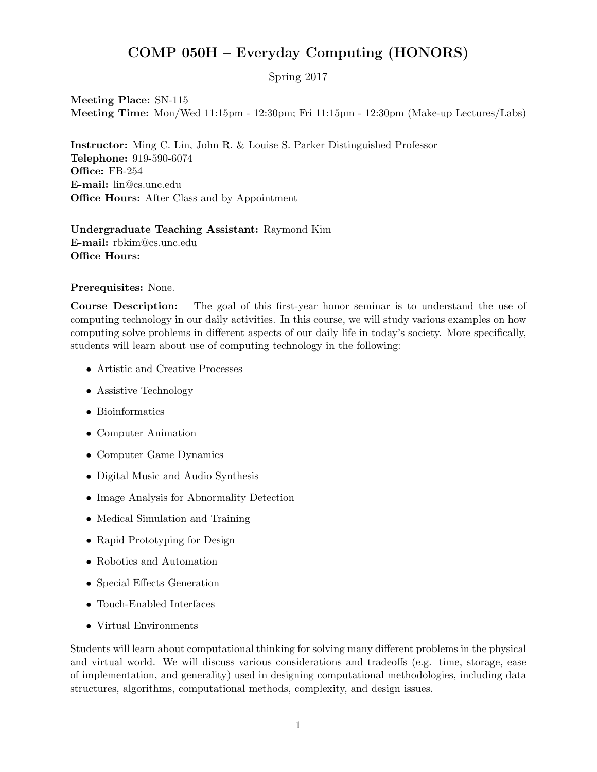## COMP 050H – Everyday Computing (HONORS)

Spring 2017

Meeting Place: SN-115 Meeting Time: Mon/Wed 11:15pm - 12:30pm; Fri 11:15pm - 12:30pm (Make-up Lectures/Labs)

Instructor: Ming C. Lin, John R. & Louise S. Parker Distinguished Professor Telephone: 919-590-6074 Office: FB-254 E-mail: lin@cs.unc.edu Office Hours: After Class and by Appointment

## Undergraduate Teaching Assistant: Raymond Kim E-mail: rbkim@cs.unc.edu Office Hours:

## Prerequisites: None.

Course Description: The goal of this first-year honor seminar is to understand the use of computing technology in our daily activities. In this course, we will study various examples on how computing solve problems in different aspects of our daily life in today's society. More specifically, students will learn about use of computing technology in the following:

- Artistic and Creative Processes
- Assistive Technology
- Bioinformatics
- Computer Animation
- Computer Game Dynamics
- Digital Music and Audio Synthesis
- Image Analysis for Abnormality Detection
- Medical Simulation and Training
- Rapid Prototyping for Design
- Robotics and Automation
- Special Effects Generation
- Touch-Enabled Interfaces
- Virtual Environments

Students will learn about computational thinking for solving many different problems in the physical and virtual world. We will discuss various considerations and tradeoffs (e.g. time, storage, ease of implementation, and generality) used in designing computational methodologies, including data structures, algorithms, computational methods, complexity, and design issues.